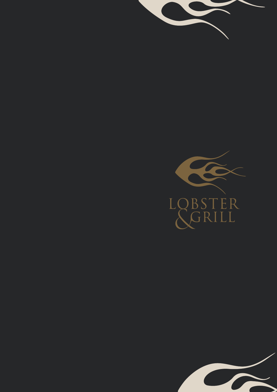